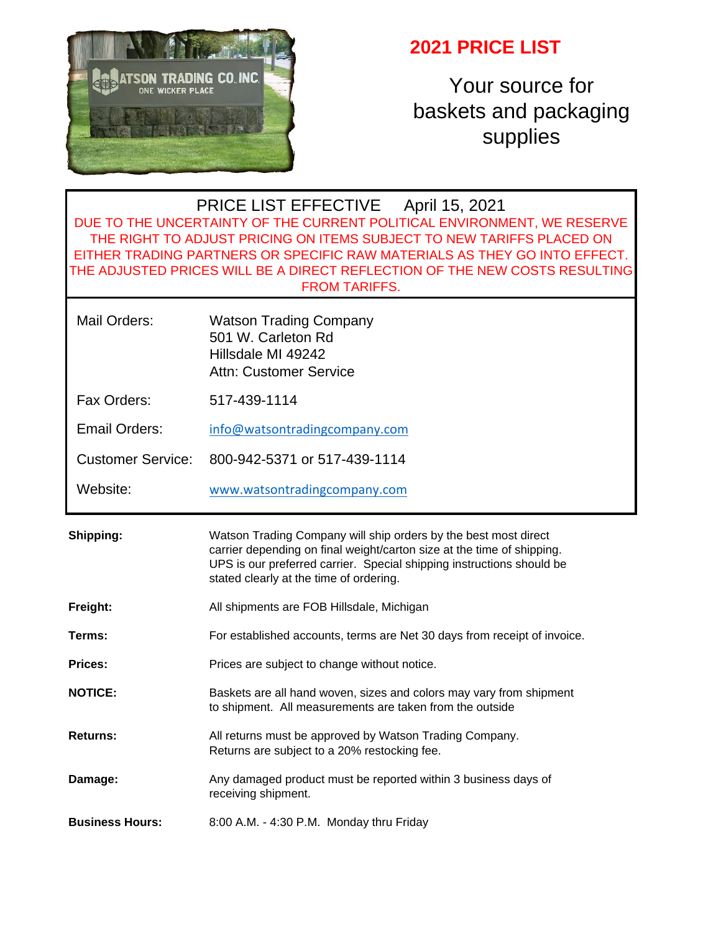

## **2021 PRICE LIST**

Your source for baskets and packaging supplies

### PRICE LIST EFFECTIVE April 15, 2021 DUE TO THE UNCERTAINTY OF THE CURRENT POLITICAL ENVIRONMENT, WE RESERVE THE RIGHT TO ADJUST PRICING ON ITEMS SUBJECT TO NEW TARIFFS PLACED ON EITHER TRADING PARTNERS OR SPECIFIC RAW MATERIALS AS THEY GO INTO EFFECT. THE ADJUSTED PRICES WILL BE A DIRECT REFLECTION OF THE NEW COSTS RESULTING FROM TARIFFS.

| Mail Orders: | <b>Watson Trading Company</b> |
|--------------|-------------------------------|
|              | 501 W. Carleton Rd            |
|              | Hillsdale MI 49242            |
|              | Attn: Customer Service        |

Fax Orders: 517-439-1114

Email Orders: [info@watsontradingcompany.com](mailto:info@watsontradingcompany.com)

Customer Service: 800-942-5371 or 517-439-1114

Website: [www.watsontradingcompany.com](http://www.watsontradingcompany.com/)

| Shipping: | Watson Trading Company will ship orders by the best most direct<br>carrier depending on final weight/carton size at the time of shipping.<br>UPS is our preferred carrier. Special shipping instructions should be<br>stated clearly at the time of ordering. |
|-----------|---------------------------------------------------------------------------------------------------------------------------------------------------------------------------------------------------------------------------------------------------------------|
| Freight:  | All shipments are FOB Hillsdale, Michigan                                                                                                                                                                                                                     |

- **Terms:** For established accounts, terms are Net 30 days from receipt of invoice.
- **Prices:** Prices are subject to change without notice.
- **NOTICE:** Baskets are all hand woven, sizes and colors may vary from shipment to shipment. All measurements are taken from the outside
- **Returns:** All returns must be approved by Watson Trading Company. Returns are subject to a 20% restocking fee.
- **Damage:** Any damaged product must be reported within 3 business days of receiving shipment.

**Business Hours:** 8:00 A.M. - 4:30 P.M. Monday thru Friday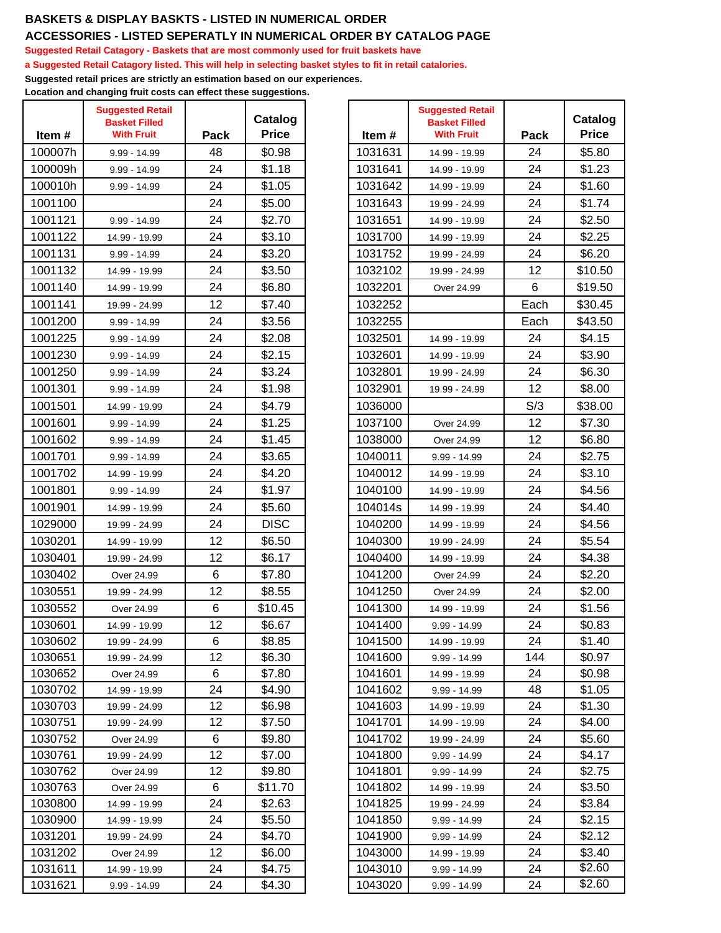## **BASKETS & DISPLAY BASKTS - LISTED IN NUMERICAL ORDER**

#### **ACCESSORIES - LISTED SEPERATLY IN NUMERICAL ORDER BY CATALOG PAGE**

**Suggested Retail Catagory - Baskets that are most commonly used for fruit baskets have**

**a Suggested Retail Catagory listed. This will help in selecting basket styles to fit in retail catalories.**

**Suggested retail prices are strictly an estimation based on our experiences.**

**Location and changing fruit costs can effect these suggestions.**

| Item#   | <b>Suggested Retail</b><br><b>Basket Filled</b><br><b>With Fruit</b> | Pack | Catalog<br><b>Price</b> | Item#   | <b>Suggested Retail</b><br><b>Basket Filled</b><br><b>With Fruit</b> | Pack |
|---------|----------------------------------------------------------------------|------|-------------------------|---------|----------------------------------------------------------------------|------|
| 100007h | 9.99 - 14.99                                                         | 48   | \$0.98                  | 1031631 | 14.99 - 19.99                                                        | 24   |
| 100009h | 9.99 - 14.99                                                         | 24   | \$1.18                  | 1031641 | 14.99 - 19.99                                                        | 24   |
| 100010h | 9.99 - 14.99                                                         | 24   | \$1.05                  | 1031642 | 14.99 - 19.99                                                        | 24   |
| 1001100 |                                                                      | 24   | \$5.00                  | 1031643 | 19.99 - 24.99                                                        | 24   |
| 1001121 | $9.99 - 14.99$                                                       | 24   | \$2.70                  | 1031651 | 14.99 - 19.99                                                        | 24   |
| 1001122 | 14.99 - 19.99                                                        | 24   | \$3.10                  | 1031700 | 14.99 - 19.99                                                        | 24   |
| 1001131 | $9.99 - 14.99$                                                       | 24   | \$3.20                  | 1031752 |                                                                      | 24   |
| 1001132 |                                                                      | 24   | \$3.50                  | 1032102 | 19.99 - 24.99                                                        | 12   |
| 1001140 | 14.99 - 19.99                                                        | 24   | \$6.80                  | 1032201 | 19.99 - 24.99                                                        | 6    |
| 1001141 | 14.99 - 19.99                                                        | 12   | \$7.40                  |         | Over 24.99                                                           |      |
|         | 19.99 - 24.99                                                        |      |                         | 1032252 |                                                                      | Each |
| 1001200 | 9.99 - 14.99                                                         | 24   | \$3.56                  | 1032255 |                                                                      | Each |
| 1001225 | 9.99 - 14.99                                                         | 24   | \$2.08                  | 1032501 | 14.99 - 19.99                                                        | 24   |
| 1001230 | 9.99 - 14.99                                                         | 24   | \$2.15                  | 1032601 | 14.99 - 19.99                                                        | 24   |
| 1001250 | 9.99 - 14.99                                                         | 24   | \$3.24                  | 1032801 | 19.99 - 24.99                                                        | 24   |
| 1001301 | 9.99 - 14.99                                                         | 24   | \$1.98                  | 1032901 | 19.99 - 24.99                                                        | 12   |
| 1001501 | 14.99 - 19.99                                                        | 24   | \$4.79                  | 1036000 |                                                                      | S/3  |
| 1001601 | $9.99 - 14.99$                                                       | 24   | \$1.25                  | 1037100 | Over 24.99                                                           | 12   |
| 1001602 | 9.99 - 14.99                                                         | 24   | \$1.45                  | 1038000 | Over 24.99                                                           | 12   |
| 1001701 | 9.99 - 14.99                                                         | 24   | \$3.65                  | 1040011 | $9.99 - 14.99$                                                       | 24   |
| 1001702 | 14.99 - 19.99                                                        | 24   | \$4.20                  | 1040012 | 14.99 - 19.99                                                        | 24   |
| 1001801 | 9.99 - 14.99                                                         | 24   | \$1.97                  | 1040100 | 14.99 - 19.99                                                        | 24   |
| 1001901 | 14.99 - 19.99                                                        | 24   | \$5.60                  | 104014s | 14.99 - 19.99                                                        | 24   |
| 1029000 | 19.99 - 24.99                                                        | 24   | <b>DISC</b>             | 1040200 | 14.99 - 19.99                                                        | 24   |
| 1030201 | 14.99 - 19.99                                                        | 12   | \$6.50                  | 1040300 | 19.99 - 24.99                                                        | 24   |
| 1030401 | 19.99 - 24.99                                                        | 12   | \$6.17                  | 1040400 | 14.99 - 19.99                                                        | 24   |
| 1030402 | Over 24.99                                                           | 6    | \$7.80                  | 1041200 | Over 24.99                                                           | 24   |
| 1030551 | 19.99 - 24.99                                                        | 12   | \$8.55                  | 1041250 | Over 24.99                                                           | 24   |
| 1030552 | Over 24.99                                                           | 6    | \$10.45                 | 1041300 | 14.99 - 19.99                                                        | 24   |
| 1030601 | 14.99 - 19.99                                                        | 12   | \$6.67                  | 1041400 | $9.99 - 14.99$                                                       | 24   |
| 1030602 | 19.99 - 24.99                                                        | 6    | \$8.85                  | 1041500 | 14.99 - 19.99                                                        | 24   |
| 1030651 | 19.99 - 24.99                                                        | 12   | \$6.30                  | 1041600 | 9.99 - 14.99                                                         | 144  |
| 1030652 | Over 24.99                                                           | 6    | \$7.80                  | 1041601 | 14.99 - 19.99                                                        | 24   |
| 1030702 | 14.99 - 19.99                                                        | 24   | \$4.90                  | 1041602 | $9.99 - 14.99$                                                       | 48   |
| 1030703 | 19.99 - 24.99                                                        | 12   | \$6.98                  | 1041603 | 14.99 - 19.99                                                        | 24   |
| 1030751 | 19.99 - 24.99                                                        | 12   | \$7.50                  | 1041701 | 14.99 - 19.99                                                        | 24   |
| 1030752 | Over 24.99                                                           | 6    | \$9.80                  | 1041702 | 19.99 - 24.99                                                        | 24   |
| 1030761 | 19.99 - 24.99                                                        | 12   | \$7.00                  | 1041800 | $9.99 - 14.99$                                                       | 24   |
| 1030762 | Over 24.99                                                           | 12   | \$9.80                  | 1041801 | $9.99 - 14.99$                                                       | 24   |
| 1030763 | Over 24.99                                                           | 6    | \$11.70                 | 1041802 | 14.99 - 19.99                                                        | 24   |
| 1030800 | 14.99 - 19.99                                                        | 24   | \$2.63                  | 1041825 | 19.99 - 24.99                                                        | 24   |
| 1030900 | 14.99 - 19.99                                                        | 24   | \$5.50                  | 1041850 | $9.99 - 14.99$                                                       | 24   |
| 1031201 | 19.99 - 24.99                                                        | 24   | \$4.70                  | 1041900 | $9.99 - 14.99$                                                       | 24   |
| 1031202 | Over 24.99                                                           | 12   | \$6.00                  | 1043000 | 14.99 - 19.99                                                        | 24   |
| 1031611 | 14.99 - 19.99                                                        | 24   | \$4.75                  | 1043010 | $9.99 - 14.99$                                                       | 24   |
| 1031621 | $9.99 - 14.99$                                                       | 24   | \$4.30                  | 1043020 | $9.99 - 14.99$                                                       | 24   |

|                 |         | <b>Suggested Retail</b> |      |                         |
|-----------------|---------|-------------------------|------|-------------------------|
| atalog<br>Price |         | <b>Basket Filled</b>    |      | Catalog<br><b>Price</b> |
|                 | Item#   | <b>With Fruit</b>       | Pack |                         |
| \$0.98          | 1031631 | 14.99 - 19.99           | 24   | \$5.80                  |
| \$1.18          | 1031641 | 14.99 - 19.99           | 24   | \$1.23                  |
| \$1.05          | 1031642 | 14.99 - 19.99           | 24   | \$1.60                  |
| \$5.00          | 1031643 | 19.99 - 24.99           | 24   | \$1.74                  |
| \$2.70          | 1031651 | 14.99 - 19.99           | 24   | \$2.50                  |
| \$3.10          | 1031700 | 14.99 - 19.99           | 24   | \$2.25                  |
| \$3.20          | 1031752 | 19.99 - 24.99           | 24   | \$6.20                  |
| \$3.50          | 1032102 | 19.99 - 24.99           | 12   | \$10.50                 |
| \$6.80          | 1032201 | Over 24.99              | 6    | \$19.50                 |
| \$7.40          | 1032252 |                         | Each | \$30.45                 |
| \$3.56          | 1032255 |                         | Each | \$43.50                 |
| \$2.08          | 1032501 | 14.99 - 19.99           | 24   | \$4.15                  |
| \$2.15          | 1032601 | 14.99 - 19.99           | 24   | \$3.90                  |
| \$3.24          | 1032801 | 19.99 - 24.99           | 24   | \$6.30                  |
| \$1.98          | 1032901 | 19.99 - 24.99           | 12   | \$8.00                  |
| \$4.79          | 1036000 |                         | S/3  | \$38.00                 |
| \$1.25          | 1037100 | Over 24.99              | 12   | \$7.30                  |
| \$1.45          | 1038000 | Over 24.99              | 12   | \$6.80                  |
| \$3.65          | 1040011 | 9.99 - 14.99            | 24   | \$2.75                  |
| \$4.20          | 1040012 | 14.99 - 19.99           | 24   | \$3.10                  |
| \$1.97          | 1040100 | 14.99 - 19.99           | 24   | \$4.56                  |
| \$5.60          | 104014s | 14.99 - 19.99           | 24   | \$4.40                  |
| <b>DISC</b>     | 1040200 | 14.99 - 19.99           | 24   | \$4.56                  |
| \$6.50          | 1040300 | 19.99 - 24.99           | 24   | \$5.54                  |
| \$6.17          | 1040400 | 14.99 - 19.99           | 24   | \$4.38                  |
| \$7.80          | 1041200 | Over 24.99              | 24   | \$2.20                  |
| \$8.55          | 1041250 | Over 24.99              | 24   | \$2.00                  |
| \$10.45         | 1041300 | 14.99 - 19.99           | 24   | \$1.56                  |
| \$6.67          | 1041400 | $9.99 - 14.99$          | 24   | \$0.83                  |
| \$8.85          | 1041500 | 14.99 - 19.99           | 24   | \$1.40                  |
| \$6.30          | 1041600 | $9.99 - 14.99$          | 144  | \$0.97                  |
| \$7.80          | 1041601 | 14.99 - 19.99           | 24   | \$0.98                  |
| \$4.90          | 1041602 | $9.99 - 14.99$          | 48   | \$1.05                  |
| \$6.98          | 1041603 | 14.99 - 19.99           | 24   | \$1.30                  |
| \$7.50          | 1041701 | 14.99 - 19.99           | 24   | \$4.00                  |
| \$9.80          | 1041702 | 19.99 - 24.99           | 24   | \$5.60                  |
| \$7.00          | 1041800 | $9.99 - 14.99$          | 24   | \$4.17                  |
| \$9.80          | 1041801 | $9.99 - 14.99$          | 24   | \$2.75                  |
| 11.70ء          | 1041802 | 14.99 - 19.99           | 24   | \$3.50                  |
| \$2.63          | 1041825 | 19.99 - 24.99           | 24   | \$3.84                  |
| \$5.50          | 1041850 | $9.99 - 14.99$          | 24   | \$2.15                  |
| \$4.70          | 1041900 | $9.99 - 14.99$          | 24   | \$2.12                  |
| \$6.00          | 1043000 | 14.99 - 19.99           | 24   | \$3.40                  |
| \$4.75          | 1043010 | $9.99 - 14.99$          | 24   | \$2.60                  |
| \$4.30          | 1043020 | $9.99 - 14.99$          | 24   | \$2.60                  |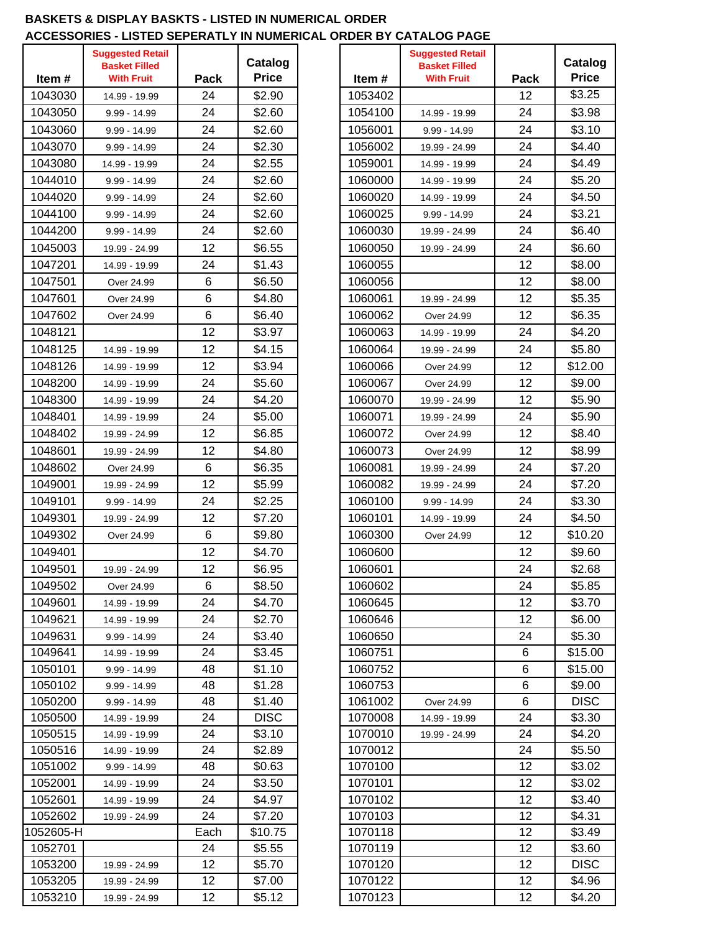#### **BASKETS & DISPLAY BASKTS - LISTED IN NUMERICAL ORDER ACCESSORIES - LISTED SEPERATLY IN NUMERICAL ORDER BY CATALOG PAGE**

| <b>Suggested Retail</b><br><b>Suggested Retail</b>                                                                |
|-------------------------------------------------------------------------------------------------------------------|
| Catalog<br><b>Basket Filled</b><br><b>Basket Filled</b><br><b>Price</b><br><b>With Fruit</b><br><b>With Fruit</b> |
| Pack<br>Item#<br>Item#                                                                                            |
| \$2.90<br>1043030<br>24<br>1053402<br>14.99 - 19.99                                                               |
| 24<br>1043050<br>\$2.60<br>1054100<br>$9.99 - 14.99$<br>14.99 - 19.99                                             |
| 24<br>1043060<br>1056001<br>\$2.60<br>$9.99 - 14.99$<br>9.99 - 14.99                                              |
| 24<br>\$2.30<br>1043070<br>1056002<br>9.99 - 14.99<br>19.99 - 24.99                                               |
| 24<br>1043080<br>\$2.55<br>1059001<br>14.99 - 19.99<br>14.99 - 19.99                                              |
| 24<br>1044010<br>\$2.60<br>1060000<br>$9.99 - 14.99$<br>14.99 - 19.99                                             |
| 24<br>1044020<br>\$2.60<br>1060020<br>$9.99 - 14.99$<br>14.99 - 19.99                                             |
| 24<br>1060025<br>1044100<br>\$2.60<br>$9.99 - 14.99$<br>9.99 - 14.99                                              |
| 1044200<br>24<br>\$2.60<br>1060030<br>$9.99 - 14.99$<br>19.99 - 24.99                                             |
| 1045003<br>12<br>\$6.55<br>1060050<br>19.99 - 24.99<br>19.99 - 24.99                                              |
| 24<br>\$1.43<br>1047201<br>1060055<br>14.99 - 19.99                                                               |
| 6<br>1047501<br>\$6.50<br>1060056<br>Over 24.99                                                                   |
| 6<br>1047601<br>\$4.80<br>1060061<br>Over 24.99<br>19.99 - 24.99                                                  |
| 6<br>1047602<br>\$6.40<br>1060062<br>Over 24.99<br>Over 24.99                                                     |
| 1048121<br>12<br>1060063<br>\$3.97<br>14.99 - 19.99                                                               |
| 12<br>1048125<br>\$4.15<br>1060064<br>14.99 - 19.99<br>19.99 - 24.99                                              |
| 12<br>\$3.94<br>1048126<br>1060066<br>14.99 - 19.99<br>Over 24.99                                                 |
| 1048200<br>24<br>\$5.60<br>1060067<br>Over 24.99<br>14.99 - 19.99                                                 |
| 1048300<br>24<br>\$4.20<br>1060070<br>14.99 - 19.99<br>19.99 - 24.99                                              |
| 24<br>1048401<br>\$5.00<br>1060071                                                                                |
| 14.99 - 19.99<br>19.99 - 24.99<br>12<br>1048402<br>1060072                                                        |
| \$6.85<br>19.99 - 24.99<br>Over 24.99<br>12                                                                       |
| 1048601<br>\$4.80<br>1060073<br>19.99 - 24.99<br>Over 24.99                                                       |
| 1048602<br>6<br>\$6.35<br>1060081<br>19.99 - 24.99<br>Over 24.99                                                  |
| 12<br>1049001<br>\$5.99<br>1060082<br>19.99 - 24.99<br>19.99 - 24.99                                              |
| 24<br>1049101<br>\$2.25<br>1060100<br>$9.99 - 14.99$<br>9.99 - 14.99                                              |
| 12<br>1049301<br>\$7.20<br>1060101<br>19.99 - 24.99<br>14.99 - 19.99                                              |
| 6<br>1049302<br>\$9.80<br>1060300<br>Over 24.99<br>Over 24.99                                                     |
| 1049401<br>12<br>\$4.70<br>1060600                                                                                |
| 12<br>\$6.95<br>1049501<br>1060601<br>19.99 - 24.99                                                               |
| 1049502<br>6<br>\$8.50<br>1060602<br>Over 24.99                                                                   |
| 24<br>1049601<br>\$4.70<br>1060645<br>14.99 - 19.99                                                               |
| 1049621<br>24<br>\$2.70<br>1060646<br>14.99 - 19.99                                                               |
| 1049631<br>24<br>\$3.40<br>1060650<br>$9.99 - 14.99$                                                              |
| 24<br>1060751<br>1049641<br>\$3.45<br>14.99 - 19.99                                                               |
| 1050101<br>48<br>\$1.10<br>1060752<br>$9.99 - 14.99$                                                              |
| 1050102<br>48<br>\$1.28<br>1060753<br>$9.99 - 14.99$                                                              |
| 1050200<br>48<br>1061002<br>\$1.40<br>9.99 - 14.99<br>Over 24.99                                                  |
| 1050500<br>24<br><b>DISC</b><br>1070008<br>14.99 - 19.99<br>14.99 - 19.99                                         |
| 24<br>1050515<br>\$3.10<br>1070010<br>14.99 - 19.99<br>19.99 - 24.99                                              |
| 1050516<br>24<br>\$2.89<br>1070012<br>14.99 - 19.99                                                               |
| 1051002<br>48<br>1070100<br>\$0.63<br>$9.99 - 14.99$                                                              |
| 1070101<br>1052001<br>24<br>\$3.50<br>14.99 - 19.99                                                               |
| 1052601<br>24<br>\$4.97<br>1070102<br>14.99 - 19.99                                                               |
| 24<br>1052602<br>\$7.20<br>1070103<br>19.99 - 24.99                                                               |
| 1052605-H<br>Each<br>\$10.75<br>1070118                                                                           |
| 1052701<br>\$5.55<br>1070119<br>24                                                                                |
| 12<br>\$5.70<br>1070120<br>1053200<br>19.99 - 24.99                                                               |
| 1053205<br>12<br>1070122<br>\$7.00<br>19.99 - 24.99                                                               |
| 12<br>\$5.12<br>1070123<br>1053210<br>19.99 - 24.99                                                               |

| <b>\CCESSORIES - LISTED SEPERATLY IN NUMERICAL ORDER BY CATALOG PAGE</b> |                                                 |          |                  |  |                    |                                                 |             |                       |
|--------------------------------------------------------------------------|-------------------------------------------------|----------|------------------|--|--------------------|-------------------------------------------------|-------------|-----------------------|
|                                                                          | <b>Suggested Retail</b><br><b>Basket Filled</b> |          | Catalog          |  |                    | <b>Suggested Retail</b><br><b>Basket Filled</b> |             | Catalog               |
| Item #                                                                   | <b>With Fruit</b>                               | Pack     | <b>Price</b>     |  | Item#              | <b>With Fruit</b>                               | <b>Pack</b> | <b>Price</b>          |
| 1043030                                                                  | 14.99 - 19.99                                   | 24       | \$2.90           |  | 1053402            |                                                 | 12          | \$3.25                |
| 1043050                                                                  | $9.99 - 14.99$                                  | 24       | \$2.60           |  | 1054100            | 14.99 - 19.99                                   | 24          | \$3.98                |
| 1043060                                                                  | $9.99 - 14.99$                                  | 24       | \$2.60           |  | 1056001            | $9.99 - 14.99$                                  | 24          | \$3.10                |
| 1043070                                                                  | 9.99 - 14.99                                    | 24       | \$2.30           |  | 1056002            | 19.99 - 24.99                                   | 24          | \$4.40                |
| 1043080                                                                  | 14.99 - 19.99                                   | 24       | \$2.55           |  | 1059001            | 14.99 - 19.99                                   | 24          | \$4.49                |
| 1044010                                                                  | $9.99 - 14.99$                                  | 24       | \$2.60           |  | 1060000            | 14.99 - 19.99                                   | 24          | \$5.20                |
| 1044020                                                                  | $9.99 - 14.99$                                  | 24       | \$2.60           |  | 1060020            | 14.99 - 19.99                                   | 24          | \$4.50                |
| 1044100                                                                  | 9.99 - 14.99                                    | 24       | \$2.60           |  | 1060025            | 9.99 - 14.99                                    | 24          | \$3.21                |
| 1044200                                                                  | 9.99 - 14.99                                    | 24       | \$2.60           |  | 1060030            | 19.99 - 24.99                                   | 24          | \$6.40                |
| 1045003                                                                  | 19.99 - 24.99                                   | 12       | \$6.55           |  | 1060050            | 19.99 - 24.99                                   | 24          | \$6.60                |
| 1047201                                                                  | 14.99 - 19.99                                   | 24       | \$1.43           |  | 1060055            |                                                 | 12          | \$8.00                |
| 1047501                                                                  | Over 24.99                                      | 6        | \$6.50           |  | 1060056            |                                                 | 12          | \$8.00                |
| 1047601                                                                  | Over 24.99                                      | 6        | \$4.80           |  | 1060061            | 19.99 - 24.99                                   | 12          | \$5.35                |
| 1047602                                                                  | Over 24.99                                      | 6        | \$6.40           |  | 1060062            | Over 24.99                                      | 12          | \$6.35                |
| 1048121                                                                  |                                                 | 12       | \$3.97           |  | 1060063            | 14.99 - 19.99                                   | 24          | \$4.20                |
| 1048125                                                                  | 14.99 - 19.99                                   | 12       | \$4.15           |  | 1060064            | 19.99 - 24.99                                   | 24          | \$5.80                |
| 1048126                                                                  | 14.99 - 19.99                                   | 12       | \$3.94           |  | 1060066            | Over 24.99                                      | 12          | \$12.00               |
| 1048200                                                                  | 14.99 - 19.99                                   | 24       | \$5.60           |  | 1060067            | Over 24.99                                      | 12          | \$9.00                |
| 1048300                                                                  | 14.99 - 19.99                                   | 24       | \$4.20           |  | 1060070            | 19.99 - 24.99                                   | 12          | \$5.90                |
| 1048401                                                                  | 14.99 - 19.99                                   | 24       | \$5.00           |  | 1060071            | 19.99 - 24.99                                   | 24          | \$5.90                |
| 1048402                                                                  | 19.99 - 24.99                                   | 12       | \$6.85           |  | 1060072            | Over 24.99                                      | 12          | \$8.40                |
| 1048601                                                                  | 19.99 - 24.99                                   | 12       | \$4.80           |  | 1060073            | Over 24.99                                      | 12          | \$8.99                |
| 1048602                                                                  | Over 24.99                                      | 6        | \$6.35           |  | 1060081            | 19.99 - 24.99                                   | 24          | \$7.20                |
| 1049001                                                                  | 19.99 - 24.99                                   | 12       | \$5.99           |  | 1060082            | 19.99 - 24.99                                   | 24          | \$7.20                |
| 1049101                                                                  | 9.99 - 14.99                                    | 24       | \$2.25           |  | 1060100            | 9.99 - 14.99                                    | 24          | \$3.30                |
| 1049301                                                                  | 19.99 - 24.99                                   | 12       | \$7.20           |  | 1060101            | 14.99 - 19.99                                   | 24          | \$4.50                |
| 1049302                                                                  | Over 24.99                                      | 6        | \$9.80           |  | 1060300            | Over 24.99                                      | 12          | \$10.20               |
| 1049401                                                                  |                                                 | 12       | \$4.70           |  | 1060600            |                                                 | 12          | \$9.60                |
| 1049501                                                                  | 19.99 - 24.99                                   | 12       | \$6.95           |  | 1060601            |                                                 | 24          | \$2.68                |
| 1049502                                                                  | Over 24.99                                      | 6        | \$8.50           |  | 1060602            |                                                 | 24          | \$5.85                |
| 1049601                                                                  | 14.99 - 19.99                                   | 24       | \$4.70           |  | 1060645            |                                                 | 12          | \$3.70                |
| 1049621                                                                  | 14.99 - 19.99                                   | 24       | \$2.70           |  | 1060646            |                                                 | 12          | \$6.00                |
| 1049631                                                                  | $9.99 - 14.99$                                  | 24       | \$3.40           |  | 1060650            |                                                 | 24          | \$5.30                |
| 1049641                                                                  | 14.99 - 19.99                                   | 24       | \$3.45           |  | 1060751            |                                                 | 6           | \$15.00               |
| 1050101                                                                  | $9.99 - 14.99$                                  | 48       | \$1.10           |  | 1060752            |                                                 | 6           | \$15.00               |
| 1050102                                                                  | 9.99 - 14.99                                    | 48       | \$1.28           |  | 1060753            |                                                 | 6           | \$9.00                |
| 1050200                                                                  | $9.99 - 14.99$                                  | 48       | \$1.40           |  | 1061002            | Over 24.99                                      | 6           | <b>DISC</b>           |
| 1050500                                                                  | 14.99 - 19.99                                   | 24       | <b>DISC</b>      |  | 1070008            | 14.99 - 19.99                                   | 24          | \$3.30                |
| 1050515                                                                  | 14.99 - 19.99                                   | 24       | \$3.10           |  | 1070010            | 19.99 - 24.99                                   | 24          | \$4.20                |
| 1050516                                                                  | 14.99 - 19.99                                   | 24       | \$2.89           |  | 1070012            |                                                 | 24          | \$5.50                |
| 1051002                                                                  | $9.99 - 14.99$                                  | 48       | \$0.63           |  | 1070100            |                                                 | 12          | \$3.02                |
| 1052001                                                                  | 14.99 - 19.99                                   | 24       | \$3.50           |  | 1070101            |                                                 | 12          | \$3.02                |
| 1052601                                                                  | 14.99 - 19.99                                   | 24       | \$4.97           |  | 1070102            |                                                 | 12          | \$3.40                |
| 1052602                                                                  | 19.99 - 24.99                                   | 24       | \$7.20           |  | 1070103            |                                                 | 12          | \$4.31                |
| 052605-H                                                                 |                                                 | Each     | \$10.75          |  | 1070118            |                                                 | 12          | \$3.49                |
| 1052701                                                                  |                                                 | 24       | \$5.55           |  | 1070119            |                                                 | 12          | \$3.60                |
| 1053200<br>1053205                                                       | 19.99 - 24.99                                   | 12<br>12 | \$5.70<br>\$7.00 |  | 1070120<br>1070122 |                                                 | 12<br>12    | <b>DISC</b><br>\$4.96 |
| 1053210                                                                  | 19.99 - 24.99<br>19.99 - 24.99                  | 12       | \$5.12           |  | 1070123            |                                                 | 12          | \$4.20                |
|                                                                          |                                                 |          |                  |  |                    |                                                 |             |                       |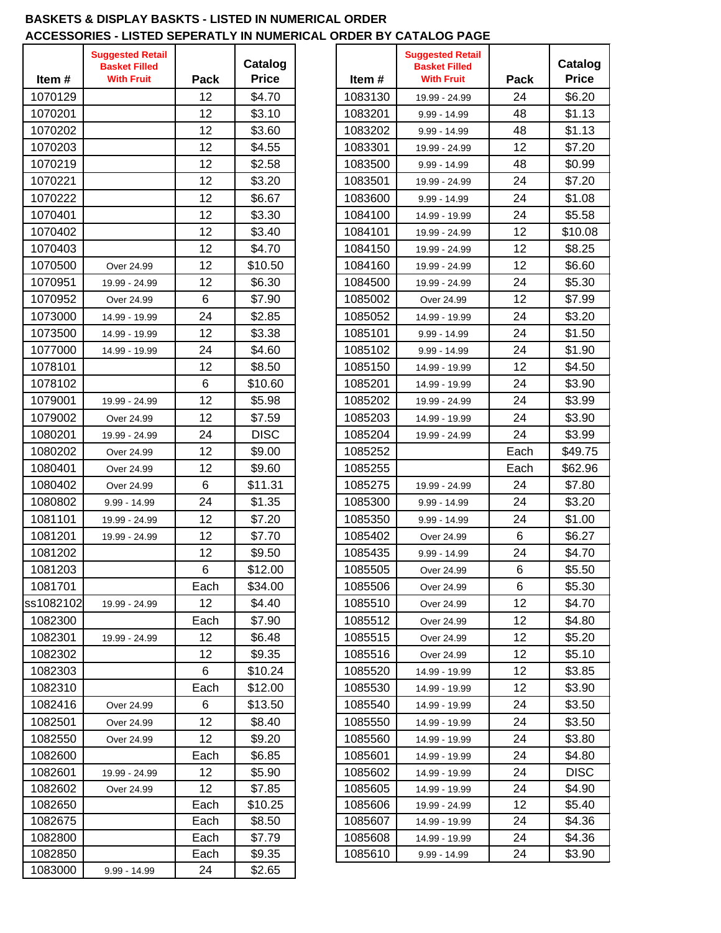#### **BASKETS & DISPLAY BASKTS - LISTED IN NUMERICAL ORDER ACCESSORIES - LISTED SEPERATLY IN NUMERICAL ORDER BY CATALOG PAGE**

| Item#     | <b>Suggested Retail</b><br><b>Basket Filled</b><br><b>With Fruit</b> | Pack | Catalog<br><b>Price</b> | Item#   | <b>Suggested Retail</b><br><b>Basket Filled</b><br><b>With Fruit</b> | Pack    | Catalog<br><b>Price</b> |
|-----------|----------------------------------------------------------------------|------|-------------------------|---------|----------------------------------------------------------------------|---------|-------------------------|
| 1070129   |                                                                      | 12   | \$4.70                  | 1083130 | 19.99 - 24.99                                                        | 24      | \$6.20                  |
| 1070201   |                                                                      | 12   | \$3.10                  | 1083201 | $9.99 - 14.99$                                                       | 48      | \$1.13                  |
| 1070202   |                                                                      | 12   | \$3.60                  | 1083202 | 9.99 - 14.99                                                         | 48      | \$1.13                  |
| 1070203   |                                                                      | 12   | \$4.55                  | 1083301 | 19.99 - 24.99                                                        | 12      | \$7.20                  |
| 1070219   |                                                                      | 12   | \$2.58                  | 1083500 | 9.99 - 14.99                                                         | 48      | \$0.99                  |
| 1070221   |                                                                      | 12   | \$3.20                  | 1083501 | 19.99 - 24.99                                                        | 24      | \$7.20                  |
| 1070222   |                                                                      | 12   | \$6.67                  | 1083600 | $9.99 - 14.99$                                                       | 24      | \$1.08                  |
| 1070401   |                                                                      | 12   | \$3.30                  | 1084100 | 14.99 - 19.99                                                        | 24      | \$5.58                  |
| 1070402   |                                                                      | 12   | \$3.40                  | 1084101 | 19.99 - 24.99                                                        | 12      | \$10.08                 |
| 1070403   |                                                                      | 12   | \$4.70                  | 1084150 | 19.99 - 24.99                                                        | 12      | \$8.25                  |
| 1070500   | Over 24.99                                                           | 12   | \$10.50                 | 1084160 | 19.99 - 24.99                                                        | 12      | \$6.60                  |
| 1070951   | 19.99 - 24.99                                                        | 12   | \$6.30                  | 1084500 | 19.99 - 24.99                                                        | 24      | \$5.30                  |
| 1070952   | Over 24.99                                                           | 6    | \$7.90                  | 1085002 | Over 24.99                                                           | 12      | \$7.99                  |
| 1073000   | 14.99 - 19.99                                                        | 24   | \$2.85                  | 1085052 | 14.99 - 19.99                                                        | 24      | \$3.20                  |
| 1073500   | 14.99 - 19.99                                                        | 12   | \$3.38                  | 1085101 | 9.99 - 14.99                                                         | 24      | \$1.50                  |
| 1077000   | 14.99 - 19.99                                                        | 24   | \$4.60                  | 1085102 | 9.99 - 14.99                                                         | 24      | \$1.90                  |
| 1078101   |                                                                      | 12   | \$8.50                  | 1085150 | 14.99 - 19.99                                                        | 12      | \$4.50                  |
| 1078102   |                                                                      | 6    | \$10.60                 | 1085201 | 14.99 - 19.99                                                        | 24      | \$3.90                  |
| 1079001   | 19.99 - 24.99                                                        | 12   | \$5.98                  | 1085202 | 19.99 - 24.99                                                        | 24      | \$3.99                  |
| 1079002   | Over 24.99                                                           | 12   | \$7.59                  | 1085203 | 14.99 - 19.99                                                        | 24      | \$3.90                  |
| 1080201   | 19.99 - 24.99                                                        | 24   | <b>DISC</b>             | 1085204 | 19.99 - 24.99                                                        | 24      | \$3.99                  |
| 1080202   | Over 24.99                                                           | 12   | \$9.00                  | 1085252 |                                                                      | Each    | \$49.75                 |
| 1080401   | Over 24.99                                                           | 12   | \$9.60                  | 1085255 |                                                                      | Each    | \$62.96                 |
| 1080402   | Over 24.99                                                           | 6    | \$11.31                 | 1085275 | 19.99 - 24.99                                                        | 24      | \$7.80                  |
| 1080802   | $9.99 - 14.99$                                                       | 24   | \$1.35                  | 1085300 | $9.99 - 14.99$                                                       | 24      | \$3.20                  |
| 1081101   | 19.99 - 24.99                                                        | 12   | \$7.20                  | 1085350 | 9.99 - 14.99                                                         | 24      | \$1.00                  |
| 1081201   | 19.99 - 24.99                                                        | 12   | \$7.70                  | 1085402 | Over 24.99                                                           | $\,6\,$ | \$6.27                  |
| 1081202   |                                                                      | 12   | \$9.50                  | 1085435 | 9.99 - 14.99                                                         | 24      | \$4.70                  |
| 1081203   |                                                                      | 6    | \$12.00                 | 1085505 | Over 24.99                                                           | $\,6\,$ | \$5.50                  |
| 1081701   |                                                                      | Each | \$34.00                 | 1085506 | Over 24.99                                                           | 6       | \$5.30                  |
| ss1082102 | 19.99 - 24.99                                                        | 12   | \$4.40                  | 1085510 | Over 24.99                                                           | 12      | \$4.70                  |
| 1082300   |                                                                      | Each | \$7.90                  | 1085512 | Over 24.99                                                           | 12      | \$4.80                  |
| 1082301   | 19.99 - 24.99                                                        | 12   | \$6.48                  | 1085515 | Over 24.99                                                           | 12      | \$5.20                  |
| 1082302   |                                                                      | 12   | \$9.35                  | 1085516 | Over 24.99                                                           | 12      | \$5.10                  |
| 1082303   |                                                                      | 6    | \$10.24                 | 1085520 | 14.99 - 19.99                                                        | 12      | \$3.85                  |
| 1082310   |                                                                      | Each | \$12.00                 | 1085530 | 14.99 - 19.99                                                        | 12      | \$3.90                  |
| 1082416   | Over 24.99                                                           | 6    | \$13.50                 | 1085540 | 14.99 - 19.99                                                        | 24      | \$3.50                  |
| 1082501   | Over 24.99                                                           | 12   | \$8.40                  | 1085550 | 14.99 - 19.99                                                        | 24      | \$3.50                  |
| 1082550   | Over 24.99                                                           | 12   | \$9.20                  | 1085560 | 14.99 - 19.99                                                        | 24      | \$3.80                  |
| 1082600   |                                                                      | Each | \$6.85                  | 1085601 | 14.99 - 19.99                                                        | 24      | \$4.80                  |
| 1082601   | 19.99 - 24.99                                                        | 12   | \$5.90                  | 1085602 | 14.99 - 19.99                                                        | 24      | <b>DISC</b>             |
| 1082602   | Over 24.99                                                           | 12   | \$7.85                  | 1085605 | 14.99 - 19.99                                                        | 24      | \$4.90                  |
| 1082650   |                                                                      | Each | \$10.25                 | 1085606 | 19.99 - 24.99                                                        | 12      | \$5.40                  |
| 1082675   |                                                                      | Each | \$8.50                  | 1085607 | 14.99 - 19.99                                                        | 24      | \$4.36                  |
| 1082800   |                                                                      | Each | \$7.79                  | 1085608 | 14.99 - 19.99                                                        | 24      | \$4.36                  |
| 1082850   |                                                                      | Each | \$9.35                  | 1085610 | $9.99 - 14.99$                                                       | 24      | \$3.90                  |
| 1083000   | $9.99 - 14.99$                                                       | 24   | \$2.65                  |         |                                                                      |         |                         |

| Item #             | <b>Suggested Retail</b><br><b>Basket Filled</b><br><b>With Fruit</b> | Pack     | Catalog<br><b>Price</b> |
|--------------------|----------------------------------------------------------------------|----------|-------------------------|
| 1083130            | 19.99 - 24.99                                                        | 24       | \$6.20                  |
| 1083201            | 9.99 - 14.99                                                         | 48       | \$1.13                  |
| 1083202            | 9.99 - 14.99                                                         | 48       | \$1.13                  |
| 1083301            | 19.99 - 24.99                                                        | 12       | \$7.20                  |
| 1083500            | $9.99 - 14.99$                                                       | 48       | \$0.99                  |
| 1083501            | 19.99 - 24.99                                                        | 24       | \$7.20                  |
| 1083600            | 9.99 - 14.99                                                         | 24       | \$1.08                  |
| 1084100            | 14.99 - 19.99                                                        | 24       | \$5.58                  |
| 1084101            | 19.99 - 24.99                                                        | 12       | \$10.08                 |
| 1084150            | 19.99 - 24.99                                                        | 12       | \$8.25                  |
| 1084160            | 19.99 - 24.99                                                        | 12       | \$6.60                  |
| 1084500            | 19.99 - 24.99                                                        | 24       | \$5.30                  |
| 1085002            | Over 24.99                                                           | 12       | \$7.99                  |
| 1085052            | 14.99 - 19.99                                                        | 24       | \$3.20                  |
| 1085101            | $9.99 - 14.99$                                                       | 24       | \$1.50                  |
| 1085102            | 9.99 - 14.99                                                         | 24       | \$1.90                  |
| 1085150            | 14.99 - 19.99                                                        | 12       | \$4.50                  |
| 1085201            | 14.99 - 19.99                                                        | 24       | \$3.90                  |
| 1085202            | 19.99 - 24.99                                                        | 24       | \$3.99                  |
| 1085203            | 14.99 - 19.99                                                        | 24       | \$3.90                  |
| 1085204            | 19.99 - 24.99                                                        | 24       | \$3.99                  |
| 1085252            |                                                                      | Each     | \$49.75                 |
| 1085255            |                                                                      | Each     | \$62.96                 |
| 1085275            | 19.99 - 24.99                                                        | 24       | \$7.80                  |
| 1085300            | 9.99 - 14.99                                                         | 24       | \$3.20                  |
| 1085350            | 9.99 - 14.99                                                         | 24       | \$1.00                  |
| 1085402            | Over 24.99                                                           | 6        | \$6.27                  |
| 1085435            | 9.99 - 14.99                                                         | 24       | \$4.70                  |
| 1085505            | Over 24.99                                                           | 6        | \$5.50                  |
| 1085506            | Over 24.99                                                           | 6        | \$5.30                  |
| 1085510            | Over 24.99                                                           | 12       | \$4.70                  |
| 1085512            | Over 24.99                                                           | 12       | \$4.80                  |
| 1085515            | Over 24.99                                                           | 12       | \$5.20                  |
| 1085516            | Over 24.99                                                           | 12       | \$5.10                  |
| 1085520            | 14.99 - 19.99                                                        | 12       | \$3.85                  |
| 1085530            | 14.99 - 19.99                                                        | 12       | \$3.90                  |
| 1085540            | 14.99 - 19.99                                                        | 24       | \$3.50                  |
| 1085550            | 14.99 - 19.99                                                        | 24       | \$3.50                  |
| 1085560            | 14.99 - 19.99                                                        | 24       | \$3.80                  |
| 1085601            | 14.99 - 19.99                                                        | 24       | \$4.80                  |
| 1085602            | 14.99 - 19.99                                                        | 24       | <b>DISC</b>             |
| 1085605            | 14.99 - 19.99                                                        | 24       | \$4.90                  |
| 1085606            | 19.99 - 24.99                                                        | 12       | \$5.40                  |
| 1085607            | 14.99 - 19.99                                                        | 24       | \$4.36                  |
| 1085608<br>1085610 | 14.99 - 19.99                                                        | 24<br>24 | \$4.36<br>\$3.90        |
|                    | 9.99 - 14.99                                                         |          |                         |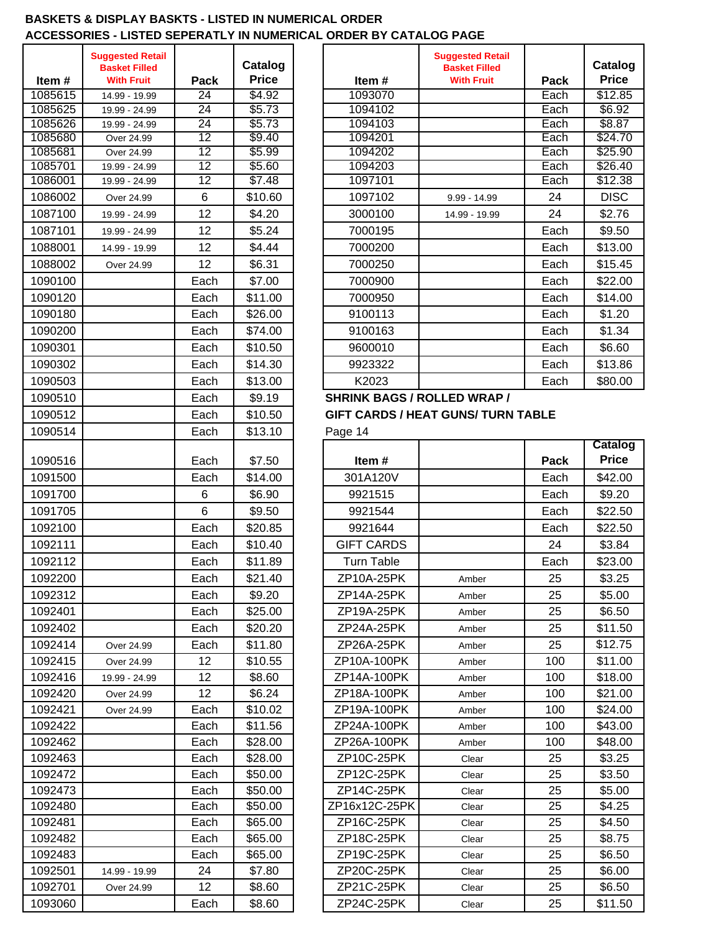#### **BASKETS & DISPLAY BASKTS - LISTED IN NUMERICAL ORDER ACCESSORIES - LISTED SEPERATLY IN NUMERICAL ORDER BY CATALOG PAGE**

|                  | <b>Suggested Retail</b>                   |                 |                         |                                    | <b>Suggested Retail</b>                   |              |
|------------------|-------------------------------------------|-----------------|-------------------------|------------------------------------|-------------------------------------------|--------------|
|                  | <b>Basket Filled</b><br><b>With Fruit</b> |                 | Catalog<br><b>Price</b> |                                    | <b>Basket Filled</b><br><b>With Fruit</b> |              |
| Item#<br>1085615 |                                           | Pack<br>24      | \$4.92                  | Item#<br>1093070                   |                                           | Pack<br>Each |
| 1085625          | 14.99 - 19.99<br>19.99 - 24.99            | $\overline{24}$ | \$5.73                  | 1094102                            |                                           | Each         |
| 1085626          | 19.99 - 24.99                             | 24              | \$5.73                  | 1094103                            |                                           | Each         |
| 1085680          | Over 24.99                                | 12              | \$9.40                  | 1094201                            |                                           | Each         |
| 1085681          | Over 24.99                                | 12              | \$5.99                  | 1094202                            |                                           | Each         |
| 1085701          | 19.99 - 24.99                             | 12              | \$5.60                  | 1094203                            |                                           | Each         |
| 1086001          | 19.99 - 24.99                             | $\overline{12}$ | \$7.48                  | 1097101                            |                                           | Each         |
| 1086002          | Over 24.99                                | 6               | \$10.60                 | 1097102                            | $9.99 - 14.99$                            | 24           |
| 1087100          | 19.99 - 24.99                             | 12              | \$4.20                  | 3000100                            | 14.99 - 19.99                             | 24           |
| 1087101          | 19.99 - 24.99                             | 12              | \$5.24                  | 7000195                            |                                           | Each         |
| 1088001          | 14.99 - 19.99                             | 12              | \$4.44                  | 7000200                            |                                           | Each         |
| 1088002          | Over 24.99                                | 12              | \$6.31                  | 7000250                            |                                           | Each         |
| 1090100          |                                           | Each            | \$7.00                  | 7000900                            |                                           | Each         |
| 1090120          |                                           | Each            | \$11.00                 | 7000950                            |                                           | Each         |
| 1090180          |                                           | Each            | \$26.00                 | 9100113                            |                                           | Each         |
| 1090200          |                                           | Each            | \$74.00                 | 9100163                            |                                           | Each         |
| 1090301          |                                           | Each            | \$10.50                 | 9600010                            |                                           | Each         |
| 1090302          |                                           | Each            | \$14.30                 | 9923322                            |                                           | Each         |
| 1090503          |                                           | Each            | \$13.00                 | K2023                              |                                           | Each         |
| 1090510          |                                           | Each            | \$9.19                  | <b>SHRINK BAGS / ROLLED WRAP /</b> |                                           |              |
|                  |                                           |                 |                         |                                    | <b>GIFT CARDS / HEAT GUNS/ TURN TABLE</b> |              |
| 1090512          |                                           | Each            | \$10.50                 |                                    |                                           |              |
| 1090514          |                                           | Each            | \$13.10                 | Page 14                            |                                           |              |
| 1090516          |                                           | Each            | \$7.50                  | Item#                              |                                           | Pack         |
| 1091500          |                                           | Each            | \$14.00                 | 301A120V                           |                                           | Each         |
| 1091700          |                                           | 6               | \$6.90                  | 9921515                            |                                           | Each         |
| 1091705          |                                           | 6               | \$9.50                  | 9921544                            |                                           | Each         |
| 1092100          |                                           | Each            | \$20.85                 | 9921644                            |                                           | Each         |
| 1092111          |                                           | Each            | \$10.40                 | <b>GIFT CARDS</b>                  |                                           | 24           |
|                  |                                           |                 |                         |                                    |                                           |              |
| 1092112          |                                           | Each            | \$11.89                 | <b>Turn Table</b>                  |                                           | Each         |
| 1092200          |                                           | Each            | \$21.40                 | ZP10A-25PK                         | Amber                                     | 25           |
| 1092312          |                                           | Each            | \$9.20                  | ZP14A-25PK                         | Amber                                     | 25           |
| 1092401          |                                           | Each            | \$25.00                 | ZP19A-25PK                         | Amber                                     | 25           |
| 1092402          |                                           | Each            | \$20.20                 | ZP24A-25PK                         | Amber                                     | 25           |
| 1092414          | Over 24.99                                | Each            | \$11.80                 | ZP26A-25PK                         | Amber                                     | 25           |
| 1092415          | Over 24.99                                | 12              | \$10.55                 | ZP10A-100PK                        | Amber                                     | 100          |
| 1092416          | 19.99 - 24.99                             | 12              | \$8.60                  | ZP14A-100PK                        | Amber                                     | 100          |
| 1092420          | Over 24.99                                | 12              | \$6.24                  | ZP18A-100PK                        | Amber                                     | 100          |
| 1092421          | Over 24.99                                | Each            | \$10.02                 | ZP19A-100PK                        | Amber                                     | 100          |
| 1092422          |                                           | Each            | \$11.56                 | ZP24A-100PK                        | Amber                                     | 100          |
| 1092462          |                                           | Each            | \$28.00                 | ZP26A-100PK                        | Amber                                     | 100          |
| 1092463          |                                           | Each            | \$28.00                 | ZP10C-25PK                         | Clear                                     | 25           |
| 1092472          |                                           | Each            | \$50.00                 | ZP12C-25PK                         | Clear                                     | 25           |
| 1092473          |                                           | Each            | \$50.00                 | ZP14C-25PK                         | Clear                                     | 25           |
| 1092480          |                                           | Each            | \$50.00                 | ZP16x12C-25PK                      | Clear                                     | 25           |
| 1092481          |                                           | Each            | \$65.00                 | ZP16C-25PK                         | Clear                                     | 25           |
| 1092482          |                                           | Each            | \$65.00                 | ZP18C-25PK                         | Clear                                     | 25           |
| 1092483          |                                           | Each            | \$65.00                 | ZP19C-25PK                         | Clear                                     | 25           |
| 1092501          | 14.99 - 19.99                             | 24              | \$7.80                  | ZP20C-25PK                         | Clear                                     | 25           |
| 1092701          | Over 24.99                                | 12              | \$8.60                  | ZP21C-25PK                         | Clear                                     | 25           |
| 1093060          |                                           | Each            | \$8.60                  | ZP24C-25PK                         | Clear                                     | 25           |

| Item#   | <b>Suggested Retail</b><br><b>Basket Filled</b><br><b>With Fruit</b> | Pack            | Catalog<br><b>Price</b> | Item $#$                           | <b>Suggested Retail</b><br><b>Basket Filled</b><br><b>With Fruit</b> | Pack | Catalog<br><b>Price</b> |
|---------|----------------------------------------------------------------------|-----------------|-------------------------|------------------------------------|----------------------------------------------------------------------|------|-------------------------|
| 1085615 | 14.99 - 19.99                                                        | 24              | \$4.92                  | 1093070                            |                                                                      | Each | \$12.85                 |
| 1085625 | 19.99 - 24.99                                                        | 24              | \$5.73                  | 1094102                            |                                                                      | Each | $\sqrt{$6.92}$          |
| 1085626 | 19.99 - 24.99                                                        | $\overline{24}$ | \$5.73                  | 1094103                            |                                                                      | Each | \$8.87                  |
| 1085680 | Over 24.99                                                           | 12              | \$9.40                  | 1094201                            |                                                                      | Each | \$24.70                 |
| 1085681 | Over 24.99                                                           | 12              | \$5.99                  | 1094202                            |                                                                      | Each | \$25.90                 |
| 1085701 | 19.99 - 24.99                                                        | 12              | \$5.60                  | 1094203                            |                                                                      | Each | \$26.40                 |
| 1086001 | 19.99 - 24.99                                                        | $\overline{12}$ | \$7.48                  | 1097101                            |                                                                      | Each | \$12.38                 |
| 1086002 | Over 24.99                                                           | 6               | \$10.60                 | 1097102                            | $9.99 - 14.99$                                                       | 24   | <b>DISC</b>             |
| 1087100 | 19.99 - 24.99                                                        | 12              | \$4.20                  | 3000100                            | 14.99 - 19.99                                                        | 24   | \$2.76                  |
| 1087101 | 19.99 - 24.99                                                        | 12              | \$5.24                  | 7000195                            |                                                                      | Each | \$9.50                  |
| 1088001 | 14.99 - 19.99                                                        | 12              | \$4.44                  | 7000200                            |                                                                      | Each | \$13.00                 |
| 1088002 | Over 24.99                                                           | 12              | \$6.31                  | 7000250                            |                                                                      | Each | \$15.45                 |
| 1090100 |                                                                      | Each            | \$7.00                  | 7000900                            |                                                                      | Each | \$22.00                 |
| 1090120 |                                                                      | Each            | \$11.00                 | 7000950                            |                                                                      | Each | \$14.00                 |
| 1090180 |                                                                      | Each            | \$26.00                 | 9100113                            |                                                                      | Each | \$1.20                  |
| 1090200 |                                                                      | Each            | \$74.00                 | 9100163                            |                                                                      | Each | \$1.34                  |
| 1090301 |                                                                      | Each            | \$10.50                 | 9600010                            |                                                                      | Each | \$6.60                  |
| 1090302 |                                                                      | Each            | \$14.30                 | 9923322                            |                                                                      | Each | \$13.86                 |
| 1090503 |                                                                      | Each            | \$13.00                 | K2023                              |                                                                      | Each | \$80.00                 |
| 1090510 |                                                                      | Each            | \$9.19                  | <b>SHRINK BAGS / ROLLED WRAP /</b> |                                                                      |      |                         |
| 1090512 |                                                                      | Fach            | ፍ10 50                  |                                    | GIET CARDS / HEAT GUNS/TURN TARLE                                    |      |                         |

# GIFT CARDS / HEAT GUNS/ TURN TABLE

|         |               |      |         |                   |       |      | Catalog      |
|---------|---------------|------|---------|-------------------|-------|------|--------------|
| 1090516 |               | Each | \$7.50  | Item#             |       | Pack | <b>Price</b> |
| 1091500 |               | Each | \$14.00 | 301A120V          |       | Each | \$42.00      |
| 1091700 |               | 6    | \$6.90  | 9921515           |       | Each | \$9.20       |
| 1091705 |               | 6    | \$9.50  | 9921544           |       | Each | \$22.50      |
| 1092100 |               | Each | \$20.85 | 9921644           |       | Each | \$22.50      |
| 1092111 |               | Each | \$10.40 | <b>GIFT CARDS</b> |       | 24   | \$3.84       |
| 1092112 |               | Each | \$11.89 | <b>Turn Table</b> |       | Each | \$23.00      |
| 1092200 |               | Each | \$21.40 | ZP10A-25PK        | Amber | 25   | \$3.25       |
| 1092312 |               | Each | \$9.20  | ZP14A-25PK        | Amber | 25   | \$5.00       |
| 1092401 |               | Each | \$25.00 | ZP19A-25PK        | Amber | 25   | \$6.50       |
| 1092402 |               | Each | \$20.20 | ZP24A-25PK        | Amber | 25   | \$11.50      |
| 1092414 | Over 24.99    | Each | \$11.80 | ZP26A-25PK        | Amber | 25   | \$12.75      |
| 1092415 | Over 24.99    | 12   | \$10.55 | ZP10A-100PK       | Amber | 100  | \$11.00      |
| 1092416 | 19.99 - 24.99 | 12   | \$8.60  | ZP14A-100PK       | Amber | 100  | \$18.00      |
| 1092420 | Over 24.99    | 12   | \$6.24  | ZP18A-100PK       | Amber | 100  | \$21.00      |
| 1092421 | Over 24.99    | Each | \$10.02 | ZP19A-100PK       | Amber | 100  | \$24.00      |
| 1092422 |               | Each | \$11.56 | ZP24A-100PK       | Amber | 100  | \$43.00      |
| 1092462 |               | Each | \$28.00 | ZP26A-100PK       | Amber | 100  | \$48.00      |
| 1092463 |               | Each | \$28.00 | ZP10C-25PK        | Clear | 25   | \$3.25       |
| 1092472 |               | Each | \$50.00 | ZP12C-25PK        | Clear | 25   | \$3.50       |
| 1092473 |               | Each | \$50.00 | ZP14C-25PK        | Clear | 25   | \$5.00       |
| 1092480 |               | Each | \$50.00 | ZP16x12C-25PK     | Clear | 25   | \$4.25       |
| 1092481 |               | Each | \$65.00 | ZP16C-25PK        | Clear | 25   | \$4.50       |
| 1092482 |               | Each | \$65.00 | ZP18C-25PK        | Clear | 25   | \$8.75       |
| 1092483 |               | Each | \$65.00 | ZP19C-25PK        | Clear | 25   | \$6.50       |
| 1092501 | 14.99 - 19.99 | 24   | \$7.80  | ZP20C-25PK        | Clear | 25   | \$6.00       |
| 1092701 | Over 24.99    | 12   | \$8.60  | ZP21C-25PK        | Clear | 25   | \$6.50       |
| 1093060 |               | Each | \$8.60  | ZP24C-25PK        | Clear | 25   | \$11.50      |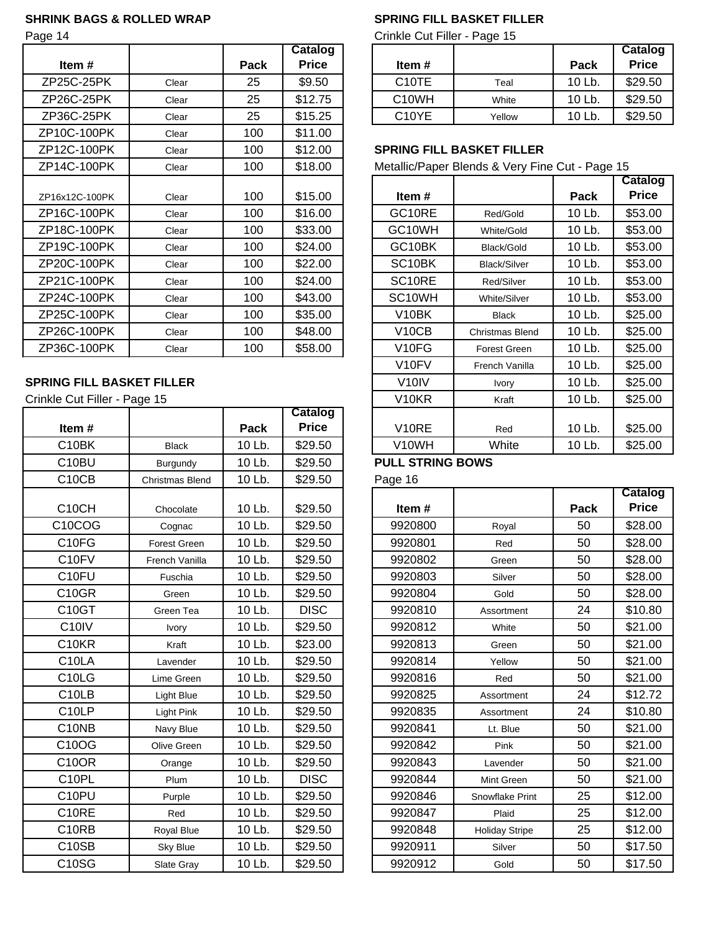#### **SHRINK BAGS & ROLLED WRAP SPRING FILL BASKET FILLER**

|                |       |      | <b>Catalog</b> |                     |                                                 |             | Catalog      |
|----------------|-------|------|----------------|---------------------|-------------------------------------------------|-------------|--------------|
| Item#          |       | Pack | <b>Price</b>   | Item#               |                                                 | Pack        | <b>Price</b> |
| ZP25C-25PK     | Clear | 25   | \$9.50         | C <sub>10</sub> TE  | Teal                                            | 10 Lb.      | \$29.50      |
| ZP26C-25PK     | Clear | 25   | \$12.75        | C <sub>10</sub> WH  | White                                           | 10 Lb.      | \$29.50      |
| ZP36C-25PK     | Clear | 25   | \$15.25        | C10YE               | Yellow                                          | 10 Lb.      | \$29.50      |
| ZP10C-100PK    | Clear | 100  | \$11.00        |                     |                                                 |             |              |
| ZP12C-100PK    | Clear | 100  | \$12.00        |                     | <b>SPRING FILL BASKET FILLER</b>                |             |              |
| ZP14C-100PK    | Clear | 100  | \$18.00        |                     | Metallic/Paper Blends & Very Fine Cut - Page 15 |             |              |
|                |       |      |                |                     |                                                 |             | Catalog      |
| ZP16x12C-100PK | Clear | 100  | \$15.00        | Item#               |                                                 | <b>Pack</b> | <b>Price</b> |
| ZP16C-100PK    | Clear | 100  | \$16.00        | GC10RE              | Red/Gold                                        | 10 Lb.      | \$53.00      |
| ZP18C-100PK    | Clear | 100  | \$33.00        | GC <sub>10</sub> WH | White/Gold                                      | 10 Lb.      | \$53.00      |
| ZP19C-100PK    | Clear | 100  | \$24.00        | GC10BK              | Black/Gold                                      | 10 Lb.      | \$53.00      |
| ZP20C-100PK    | Clear | 100  | \$22.00        | SC <sub>10</sub> BK | <b>Black/Silver</b>                             | 10 Lb.      | \$53.00      |
| ZP21C-100PK    | Clear | 100  | \$24.00        | SC <sub>10RE</sub>  | Red/Silver                                      | 10 Lb.      | \$53.00      |
| ZP24C-100PK    | Clear | 100  | \$43.00        | SC <sub>10</sub> WH | White/Silver                                    | 10 Lb.      | \$53.00      |
| ZP25C-100PK    | Clear | 100  | \$35.00        | V10BK               | <b>Black</b>                                    | 10 Lb.      | \$25.00      |
| ZP26C-100PK    | Clear | 100  | \$48.00        | V <sub>10</sub> CB  | <b>Christmas Blend</b>                          | 10 Lb.      | \$25.00      |
| ZP36C-100PK    | Clear | 100  | \$58.00        | V <sub>10FG</sub>   | Forest Green                                    | 10 Lb.      | \$25.00      |

#### **SPRING FILL BASKET FILLER**

Crinkle Cut Filler - Page 15

|                     |                     |        | <b>Catalog</b> |                         |                       |        |              |
|---------------------|---------------------|--------|----------------|-------------------------|-----------------------|--------|--------------|
| Item#               |                     | Pack   | <b>Price</b>   | V10RE                   | Red                   | 10 Lb. | \$25.00      |
| C10BK               | <b>Black</b>        | 10 Lb. | \$29.50        | V10WH                   | White                 | 10 Lb. | \$25.00      |
| C10BU               | Burgundy            | 10 Lb. | \$29.50        | <b>PULL STRING BOWS</b> |                       |        |              |
| C <sub>10</sub> CB  | Christmas Blend     | 10 Lb. | \$29.50        | Page 16                 |                       |        |              |
|                     |                     |        |                |                         |                       |        | Catalog      |
| C10CH               | Chocolate           | 10 Lb. | \$29.50        | Item#                   |                       | Pack   | <b>Price</b> |
| C <sub>10</sub> COG | Cognac              | 10 Lb. | \$29.50        | 9920800                 | Royal                 | 50     | \$28.00      |
| C10FG               | <b>Forest Green</b> | 10 Lb. | \$29.50        | 9920801                 | Red                   | 50     | \$28.00      |
| C <sub>10FV</sub>   | French Vanilla      | 10 Lb. | \$29.50        | 9920802                 | Green                 | 50     | \$28.00      |
| C <sub>10FU</sub>   | Fuschia             | 10 Lb. | \$29.50        | 9920803                 | Silver                | 50     | \$28.00      |
| C10GR               | Green               | 10 Lb. | \$29.50        | 9920804                 | Gold                  | 50     | \$28.00      |
| C10GT               | Green Tea           | 10 Lb. | <b>DISC</b>    | 9920810                 | Assortment            | 24     | \$10.80      |
| C <sub>10</sub> IV  | Ivory               | 10 Lb. | \$29.50        | 9920812                 | White                 | 50     | \$21.00      |
| C10KR               | Kraft               | 10 Lb. | \$23.00        | 9920813                 | Green                 | 50     | \$21.00      |
| C <sub>10</sub> LA  | Lavender            | 10 Lb. | \$29.50        | 9920814                 | Yellow                | 50     | \$21.00      |
| C10LG               | Lime Green          | 10 Lb. | \$29.50        | 9920816                 | Red                   | 50     | \$21.00      |
| C <sub>10</sub> LB  | Light Blue          | 10 Lb. | \$29.50        | 9920825                 | Assortment            | 24     | \$12.72      |
| C <sub>10</sub> LP  | Light Pink          | 10 Lb. | \$29.50        | 9920835                 | Assortment            | 24     | \$10.80      |
| C10NB               | Navy Blue           | 10 Lb. | \$29.50        | 9920841                 | Lt. Blue              | 50     | \$21.00      |
| C10OG               | Olive Green         | 10 Lb. | \$29.50        | 9920842                 | Pink                  | 50     | \$21.00      |
| <b>C10OR</b>        | Orange              | 10 Lb. | \$29.50        | 9920843                 | Lavender              | 50     | \$21.00      |
| C10PL               | Plum                | 10 Lb. | <b>DISC</b>    | 9920844                 | Mint Green            | 50     | \$21.00      |
| C10PU               | Purple              | 10 Lb. | \$29.50        | 9920846                 | Snowflake Print       | 25     | \$12.00      |
| C10RE               | Red                 | 10 Lb. | \$29.50        | 9920847                 | Plaid                 | 25     | \$12.00      |
| C10RB               | Royal Blue          | 10 Lb. | \$29.50        | 9920848                 | <b>Holiday Stripe</b> | 25     | \$12.00      |
| C10SB               | Sky Blue            | 10 Lb. | \$29.50        | 9920911                 | Silver                | 50     | \$17.50      |
| C10SG               | Slate Gray          | 10 Lb. | \$29.50        | 9920912                 | Gold                  | 50     | \$17.50      |

Page 14 Crinkle Cut Filler - Page 15

| atalog<br><b>Price</b> | Item#              |        | Pack   | Catalog<br><b>Price</b> |
|------------------------|--------------------|--------|--------|-------------------------|
| \$9.50                 | C <sub>10</sub> TE | Teal   | 10 Lb. | \$29.50                 |
| ነ12.75                 | C <sub>10</sub> WH | White  | 10 Lb. | \$29.50                 |
| ነ15.25                 | C <sub>10</sub> YE | Yellow | 10 Lb. | \$29.50                 |

#### **SPRING FILL BASKET FILLER**

|                              |              |        |                    |                     |                        |         | Catalog      |
|------------------------------|--------------|--------|--------------------|---------------------|------------------------|---------|--------------|
| 3x12C-100PK                  | Clear        | 100    | \$15.00            | Item $#$            |                        | Pack    | <b>Price</b> |
| 6C-100PK                     | Clear        | 100    | \$16.00            | GC10RE              | Red/Gold               | 10 Lb.  | \$53.00      |
| 8C-100PK                     | Clear        | 100    | \$33.00            | GC10WH              | White/Gold             | 10 Lb.  | \$53.00      |
| 9C-100PK                     | Clear        | 100    | \$24.00            | GC10BK              | Black/Gold             | 10 Lb.  | \$53.00      |
| 20C-100PK                    | Clear        | 100    | \$22.00            | SC <sub>10</sub> BK | <b>Black/Silver</b>    | 10 Lb.  | \$53.00      |
| 1C-100PK                     | Clear        | 100    | \$24.00            | SC <sub>10RE</sub>  | Red/Silver             | 10 Lb.  | \$53.00      |
| 24C-100PK                    | Clear        | 100    | \$43.00            | SC <sub>10</sub> WH | <b>White/Silver</b>    | 10 Lb.  | \$53.00      |
| ?5C-100PK                    | Clear        | 100    | \$35.00            | V <sub>10</sub> BK  | <b>Black</b>           | 10 Lb.  | \$25.00      |
| 26C-100PK                    | Clear        | 100    | \$48.00            | V10CB               | <b>Christmas Blend</b> | 10 Lb.  | \$25.00      |
| 86C-100PK                    | Clear        | 100    | \$58.00            | V <sub>10</sub> FG  | Forest Green           | 10 Lb.  | \$25.00      |
|                              |              |        |                    | V <sub>10FV</sub>   | French Vanilla         | 10 Lb.  | \$25.00      |
| <b>IG FILL BASKET FILLER</b> |              |        |                    | V <sub>10</sub> IV  | <b>Ivory</b>           | 10 Lb.  | \$25.00      |
| e Cut Filler - Page 15       |              |        | V <sub>10</sub> KR | Kraft               | 10 Lb.                 | \$25.00 |              |
|                              |              |        | Catalog            |                     |                        |         |              |
| Item#                        |              | Pack   | <b>Price</b>       | V <sub>10</sub> RE  | Red                    | 10 Lb.  | \$25.00      |
| C10BK                        | <b>Black</b> | 10 Lb. | \$29.50            | V <sub>10</sub> WH  | White                  | 10 Lb.  | \$25.00      |

#### **PULL STRING BOWS**

|                                |                     |        |             |         |                       |      | <b>Catalog</b> |
|--------------------------------|---------------------|--------|-------------|---------|-----------------------|------|----------------|
| C10CH                          | Chocolate           | 10 Lb. | \$29.50     | Item#   |                       | Pack | <b>Price</b>   |
| 210COG                         | Cognac              | 10 Lb. | \$29.50     | 9920800 | Royal                 | 50   | \$28.00        |
| C10FG                          | <b>Forest Green</b> | 10 Lb. | \$29.50     | 9920801 | Red                   | 50   | \$28.00        |
| C10FV                          | French Vanilla      | 10 Lb. | \$29.50     | 9920802 | Green                 | 50   | \$28.00        |
| C10FU                          | Fuschia             | 10 Lb. | \$29.50     | 9920803 | Silver                | 50   | \$28.00        |
| C <sub>10</sub> GR             | Green               | 10 Lb. | \$29.50     | 9920804 | Gold                  | 50   | \$28.00        |
| C10GT                          | Green Tea           | 10 Lb. | <b>DISC</b> | 9920810 | Assortment            | 24   | \$10.80        |
| C <sub>10</sub> IV             | <b>Ivory</b>        | 10 Lb. | \$29.50     | 9920812 | White                 | 50   | \$21.00        |
| C10KR                          | Kraft               | 10 Lb. | \$23.00     | 9920813 | Green                 | 50   | \$21.00        |
| C <sub>10</sub> LA             | Lavender            | 10 Lb. | \$29.50     | 9920814 | Yellow                | 50   | \$21.00        |
| C <sub>10</sub> L <sub>G</sub> | Lime Green          | 10 Lb. | \$29.50     | 9920816 | Red                   | 50   | \$21.00        |
| C <sub>10</sub> LB             | Light Blue          | 10 Lb. | \$29.50     | 9920825 | Assortment            | 24   | \$12.72        |
| C <sub>10</sub> LP             | <b>Light Pink</b>   | 10 Lb. | \$29.50     | 9920835 | Assortment            | 24   | \$10.80        |
| C10NB                          | Navy Blue           | 10 Lb. | \$29.50     | 9920841 | Lt. Blue              | 50   | \$21.00        |
| C10OG                          | Olive Green         | 10 Lb. | \$29.50     | 9920842 | Pink                  | 50   | \$21.00        |
| C10OR                          | Orange              | 10 Lb. | \$29.50     | 9920843 | Lavender              | 50   | \$21.00        |
| C10PL                          | Plum                | 10 Lb. | <b>DISC</b> | 9920844 | Mint Green            | 50   | \$21.00        |
| C10PU                          | Purple              | 10 Lb. | \$29.50     | 9920846 | Snowflake Print       | 25   | \$12.00        |
| C10RE                          | Red                 | 10 Lb. | \$29.50     | 9920847 | Plaid                 | 25   | \$12.00        |
| C10RB                          | Royal Blue          | 10 Lb. | \$29.50     | 9920848 | <b>Holiday Stripe</b> | 25   | \$12.00        |
| C10SB                          | Sky Blue            | 10 Lb. | \$29.50     | 9920911 | Silver                | 50   | \$17.50        |
| C10SG                          | Slate Gray          | 10 Lb. | \$29.50     | 9920912 | Gold                  | 50   | \$17.50        |
|                                |                     |        |             |         |                       |      |                |